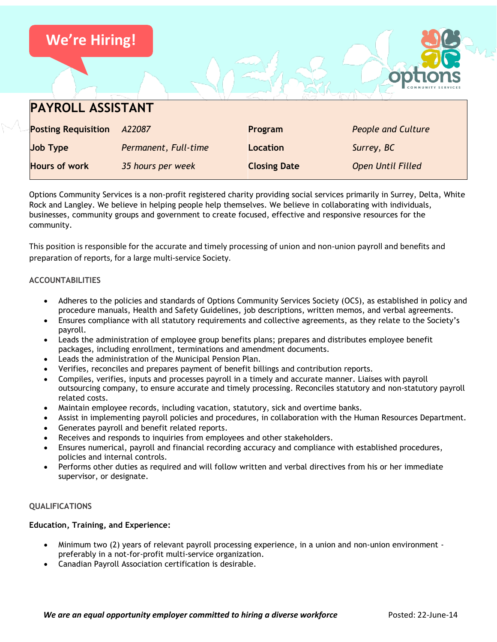| <b>We're Hiring!</b>       |                      |                     |                           |
|----------------------------|----------------------|---------------------|---------------------------|
|                            |                      |                     |                           |
| <b>PAYROLL ASSISTANT</b>   |                      |                     |                           |
| <b>Posting Requisition</b> | A22087               | Program             | <b>People and Culture</b> |
| <b>Job Type</b>            | Permanent, Full-time | Location            | Surrey, BC                |
| <b>Hours of work</b>       | 35 hours per week    | <b>Closing Date</b> | <b>Open Until Filled</b>  |

Options Community Services is a non-profit registered charity providing social services primarily in Surrey, Delta, White Rock and Langley. We believe in helping people help themselves. We believe in collaborating with individuals, businesses, community groups and government to create focused, effective and responsive resources for the community.

This position is responsible for the accurate and timely processing of union and non-union payroll and benefits and preparation of reports, for a large multi-service Society.

# **ACCOUNTABILITIES**

- Adheres to the policies and standards of Options Community Services Society (OCS), as established in policy and procedure manuals, Health and Safety Guidelines, job descriptions, written memos, and verbal agreements.
- Ensures compliance with all statutory requirements and collective agreements, as they relate to the Society's payroll.
- Leads the administration of employee group benefits plans; prepares and distributes employee benefit packages, including enrollment, terminations and amendment documents.
- Leads the administration of the Municipal Pension Plan.
- Verifies, reconciles and prepares payment of benefit billings and contribution reports.
- Compiles, verifies, inputs and processes payroll in a timely and accurate manner. Liaises with payroll outsourcing company, to ensure accurate and timely processing. Reconciles statutory and non-statutory payroll related costs.
- Maintain employee records, including vacation, statutory, sick and overtime banks.
- Assist in implementing payroll policies and procedures, in collaboration with the Human Resources Department.
- Generates payroll and benefit related reports.
- Receives and responds to inquiries from employees and other stakeholders.
- Ensures numerical, payroll and financial recording accuracy and compliance with established procedures, policies and internal controls.
- Performs other duties as required and will follow written and verbal directives from his or her immediate supervisor, or designate.

## **QUALIFICATIONS**

## **Education, Training, and Experience:**

- Minimum two (2) years of relevant payroll processing experience, in a union and non-union environment preferably in a not-for-profit multi-service organization.
- Canadian Payroll Association certification is desirable.